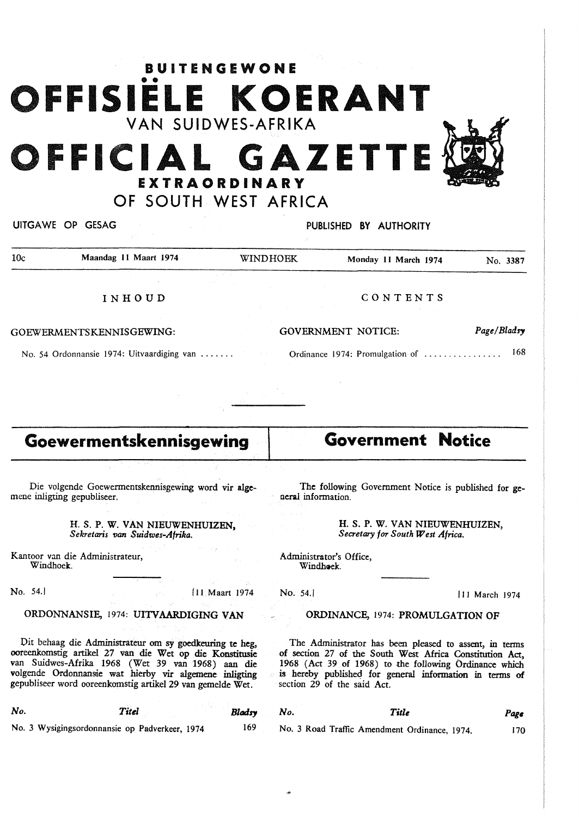# **BUITENGEWONE** •• **FISIELE KOERANT**  YAN SUIDWES-AFRIKA **FFICIAL GAZETTE**

EXTRAORDINARY OF SOUTH WEST AFRICA



UITGA WE OP GESAG PUBLISHED **BY** AUTHORITY 10c Maandag 11 Maart 1974 WINDHOEK Monday 11 March 1974 No. 3387 INHOUD GOEWERMENTSKENNISGEWING: No. 54 Ordonnansie 1974: Uitvaardiging van ...... CONTENTS **GOVERNMENT** NOTICE: Ordinance 1974: Promulgation of .................... 168 *Page/Bladsy* 

# **Goewermentskennisgewing**

Die volgende Goewermentskennisgewing word **vir alge**mene inligting gepubliseer.

> **H. S. P. W. VAN NIEUWENHUIZEN,**  *Sekretaris van Suidwes-Afrika.*

Kantoor van die Administrateur, Windhoek.

No. 54.

### ORDONNANSIE, 1974: UITVAARDIGING VAN

Dit behaag die Administrateur om sy goedkeuring te heg, ooreenkomstig artikel 27 van die Wet op die Konstitusie van Suidwes-Afrika 1968 (Wet 39 van 1968) aan die volgende Ordonnansie wat hierby vir algemenc inligting gepubliseer word ooreenkomstig artikel 29 van gemelde Wet.

| No. | Titel                                          | Bladsy |
|-----|------------------------------------------------|--------|
|     | No. 3 Wysigingsordonnansie on Padverkeer, 1974 | 169    |

No. 3 Wysigingsordonnansie op Padverkeer, 1974

# **Government Notice**

The following Government Notice is published for general information.

> H. S. P. W. VAN NIEUWENHUIZEN, *Secretary for South West Africa.*

Administrator's Office, Windhoek.

No. 54.] 11 March 1974

#### ORDINANCE, 1974: PROMULGATION OF

The Administrator has been pleased to assent, in terms of section 27 of the South West Africa Constitution Act, 1968 (Act 39 of 1968) to the following Ordinance which is hereby published for general information in terms **of**  section 29 of the said Act.

*No. Title*  170

No. 3 Road Traffic Amendment Ordinance, 1974.

*Page*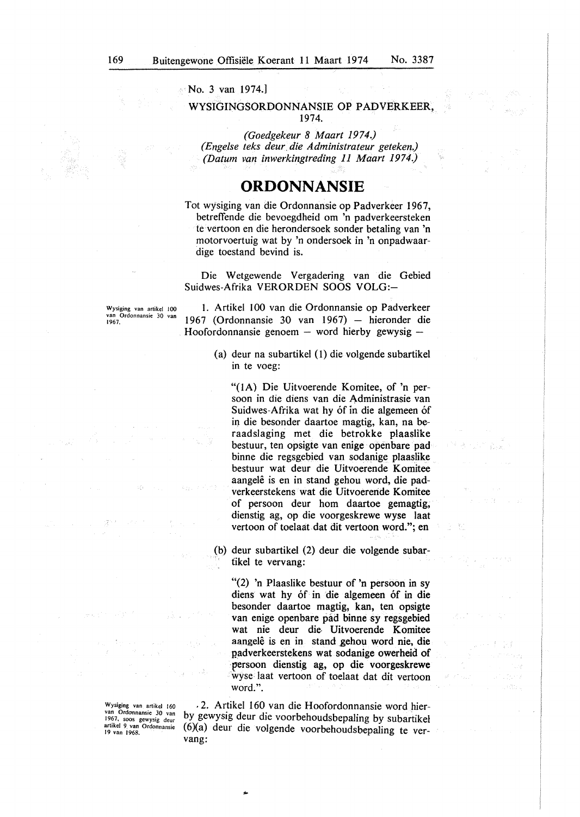No. 3 van 1974.]

#### WYSIGINGSORDONNANSIE OP PADVERKEER, 1974.

*(Goedgekeur 8 Maart 1974.) (Engelse teks deur die Administrateur geteken.) (Datum van inwerkingtreding 11 Maart 1974.)* 

### **ORDONNANSIE**

Tot wysiging van die Ordonnansie op Padverkeer 1967, betreffende die bevoegdheid om 'n padverkeersteken te vertoon en die herondersoek sonder betaling van 'n motorvoertuig wat by 'n ondersoek in 'n onpadwaardige toestand bevind is.

Die Wetgewende Vergadering van die Gebied Suidwes-Afrika VERORDEN SOOS VOLG:-

Wysiging van artikel 100 **van Ordonnansie 30 van**  1967.

1. Artikel 100 van die Ordonnansie op Padverkeer 1967 (Ordonnansie 30 van 1967) - hieronder die Hoofordonnansie genoem  $-$  word hierby gewysig  $-$ 

> (a) deur na subartikel (1) die volgende subartikel in te voeg:

"(IA) Die Uitvoerende Komitee, of 'n persoon in die diens van die Administrasie van Suidwes-Afrika wat hy óf in die algemeen óf in die besonder daartoe magtig, kan, na beraadslaging met die betrokke plaaslike bestuur, ten opsigte van enige openbare pad binne die regsgebied van sodanige plaaslike bestuur wat deur die Uitvoerende Komitee aangelê is en in stand gehou word, die padverkeerstekens wat die Uitvoereride Komitee of persoon deur horn daartoe gemagtig, dienstig ag, op die voorgeskrewe wyse Iaat vertoon of toelaat dat dit vertoon word."; en

(b) deur subartikel (2) deur die volgende subartikel te vervang:

"(2) 'n Plaaslike bestuur of 'n persoon in sy diens wat hy of in die algemeen of in die besonder daartoe magtig, kan, ten opsigte van enige openbare pad binne sy regsgebied wat nie deur die- Uitvoerende Komitee aangelê is en in stand gehou word nie, die padverkeerstekens wat sodanige owerheid of · persoon dienstig ag, op die voorgeskrewe wyse laat vertoon of toelaat dat dit vertoon word.".

Wysiging van artikel 160 **van Ordonnansie 30 van**  1967, soos gewysig deur **artikel 9. van Ordonnansie**  19 van 1968.

. 2. Artikel 160 van die Hoofordonnansie word hierby gewysig deur die voorbehoudsbepaling by subartikel  $(6)(a)$  deur die volgende voorbehoudsbepaling te vervang:

....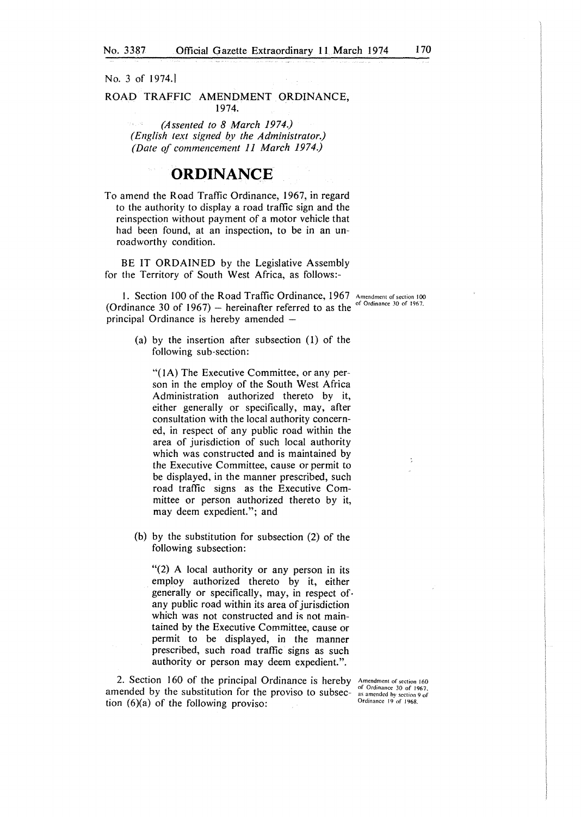No. 3 of 1974.]

ROAD TRAFFIC AMENDMENT ORDINANCE, 1974.

> ra jiha *(Assented to 8 March 1974.) ( English text signed by the Administrator.) (Date of commencement 11 March 1974.)*

## **ORDINANCE**

To amend the Road Traffic Ordinance, 1967, in regard to the authority to display a road traffic sign and the reinspection without payment of a motor vehicle that had been found, at an inspection, to be in an unroadworthy condition.

BE IT ORDAINED by the Legislative Assembly for the Territory of South West Africa, as follows:-

1. Section 100 of the Road Traffic Ordinance, 1967 Amendment of section 100 (Ordinance 30 of 1967)  $-$  *hereinafter referred to as the* <sup>of Ordinance 30 of 1967.</sup> principal Ordinance is hereby amended -

(a) by the insertion after subsection (I) of the following sub-section:

**"(IA)** The Executive Committee, or any person in the employ of the South West Africa Administration authorized thereto by it, either generally or specifically, may, after consultation with the local authority concerned, in respect of any public road within the area of jurisdiction of such local authority which was constructed and is maintained by the Executive Committee, cause or permit to be displayed, in the manner prescribed, such road traffic signs as the Executive Committee or person authorized thereto by it, may deem expedient."; and

(b) by the substitution for subsection (2) of the following subsection:

"(2) A local authority or any person in its employ authorized thereto by it, either generally or specifically, may, in respect of. any public road within its area of jurisdiction which was not constructed and is not maintained by the Executive Committee, cause or permit to be displayed, in the manner prescribed, such road traffic signs as such authority or person may deem expedient.".

2. Section 160 of the principal Ordinance is hereby **Amendment of section 160**  amended by the substitution for the proviso to subsection  $(6)(a)$  of the following proviso:

of Ordinance 30 of 1967. **as amended hy section 9 of**  Ordinance 19 of 1968.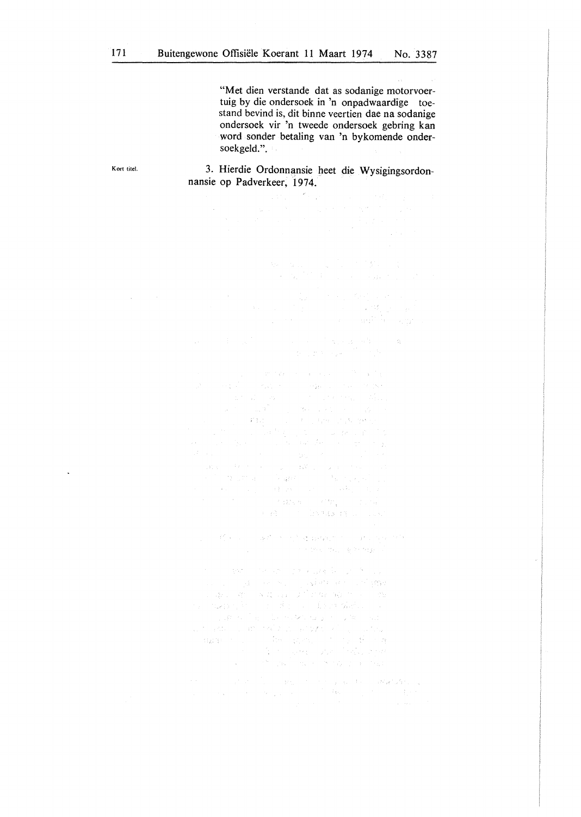$\mathcal{F}^{\mathcal{G}}_{\mathcal{G}}$ 

"Met dien verstande dat as sodanige motorvoertuig by die ondersoek in 'n onpadwaardige toestand bevind is, dit binne veertien dae na sodanige ondersoek vir 'n tweede ondersoek gebring kan word sonder betaling van 'n bykomende ondersoekgeld.".

 $\begin{split} \Delta p_{\rm{eff}}(\mathbf{g}_{\rm{eff}}) &= \mathbf{g}_{\rm{eff}}(\mathbf{f}_{\rm{eff}}) + \mathbf{f}_{\rm{eff}}(\mathbf{f}_{\rm{eff}}) \mathbf{f}_{\rm{eff}} \\ &= \mathbf{f}_{\rm{eff}}(\mathbf{f}_{\rm{eff}}^{\rm{eff}}) \mathbf{f}_{\rm{eff}}(\mathbf{f}_{\rm{eff}}) + \mathbf{f}_{\rm{eff}}(\mathbf{g}_{\rm{eff}}^{\rm{eff}}) \mathbf{f}_{\rm{eff}} \end{split}$ 

3. Hierdie Ordonnansie heet die Wysigingsordonnansie op Padverkeer, 1974.

Kort titel.

J.

 $\label{eq:2.1} \begin{split} \mathcal{L}_{\text{max}}(\mathbf{r},\mathbf{r})&=\mathcal{L}_{\text{max}}(\mathbf{r},\mathbf{r})\mathcal{L}_{\text{max}}(\mathbf{r},\mathbf{r})\\ &\leq \mathcal{L}_{\text{max}}(\mathbf{r},\mathbf{r})\mathcal{L}_{\text{max}}(\mathbf{r},\mathbf{r})\mathcal{L}_{\text{max}}(\mathbf{r},\mathbf{r})\mathcal{L}_{\text{max}}(\mathbf{r},\mathbf{r})\mathcal{L}_{\text{max}}(\mathbf{r},\mathbf{r})\mathcal{L}_{\text{max}}(\mathbf{r$ 

 $\mathbb{E}\left\{ \mathcal{D}^{(1)}\left(\mathcal{E}\right) \leq \mathcal{E}\left(\mathcal{E}\right) \right\} \leq \mathbb{E}\left\{ \mathcal{E}\left(\mathcal{E}\right) \right\} \leq \mathbb{E}\left\{ \mathcal{E}\left(\mathcal{E}\right) \right\} \leq \mathbb{E}\left\{ \mathcal{E}\left(\mathcal{E}\right) \right\}$  $\label{eq:2.1} \begin{split} \mathcal{L}_{\text{G}}&=\frac{1}{2}\left(1-\frac{1}{2}\left(1+\frac{1}{2}\left(1+\frac{1}{2}\right)\right)\right)-\frac{1}{2}\left(1+\frac{1}{2}\left(1+\frac{1}{2}\right)\right)-\frac{1}{2}\left(1+\frac{1}{2}\left(1+\frac{1}{2}\right)\right)-\frac{1}{2}\left(1+\frac{1}{2}\left(1+\frac{1}{2}\right)\right)-\frac{1}{2}\left(1+\frac{1}{2}\left(1+\frac{1}{2}\right)\right)-\frac{1}{2}\left(1+\frac{1}{2}\left(1+\frac{1}{2}\$ i e Alice di Brazilia e Sea

The State May 18 State Role

 $\langle \eta \eta \delta \rangle = \langle \eta \delta \rangle \langle \eta \delta \rangle = \langle \eta \delta \rangle \langle \eta \delta \rangle \langle \eta \delta \rangle = \langle \eta \delta \rangle \langle \delta \rangle \langle \eta \rangle$ an a condita e sa copadeira e condi<mark>m</mark>e<br>a del organización de difundade por condi  $\alpha$  , and in the second state  $\alpha$  , and the state  $\alpha$  -state  $\alpha$